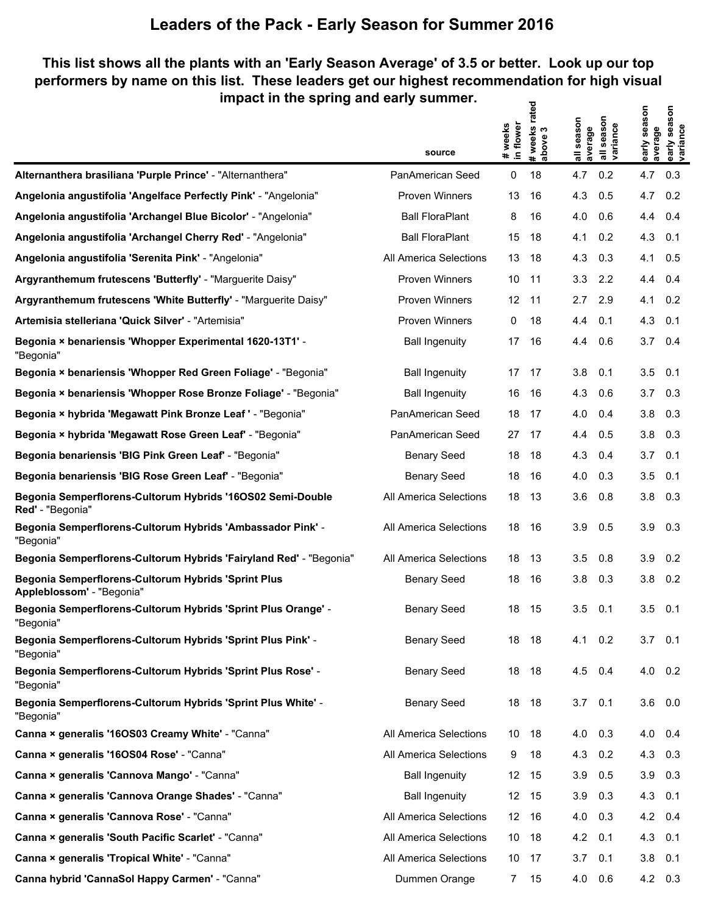#### **This list shows all the plants with an 'Early Season Average' of 3.5 or better. Look up our top performers by name on this list. These leaders get our highest recommendation for high visual impact in the spring and early summer.**  $\mathbf{z}$

|                                                                                  | source                 | # weeks<br>in flower | # weeks rate<br>above 3 | all season<br>average | season<br>all seasor<br> variance | early season<br>average | early season<br>variance |
|----------------------------------------------------------------------------------|------------------------|----------------------|-------------------------|-----------------------|-----------------------------------|-------------------------|--------------------------|
| Alternanthera brasiliana 'Purple Prince' - "Alternanthera"                       | PanAmerican Seed       | 0                    | 18                      | 4.7                   | 0.2                               | 4.7                     | 0.3                      |
| Angelonia angustifolia 'Angelface Perfectly Pink' - "Angelonia"                  | <b>Proven Winners</b>  | 13                   | 16                      | 4.3                   | 0.5                               | 4.7                     | 0.2                      |
| Angelonia angustifolia 'Archangel Blue Bicolor' - "Angelonia"                    | <b>Ball FloraPlant</b> | 8                    | 16                      | 4.0                   | 0.6                               | 4.4                     | 0.4                      |
| Angelonia angustifolia 'Archangel Cherry Red' - "Angelonia"                      | <b>Ball FloraPlant</b> | 15                   | 18                      | 4.1                   | 0.2                               | 4.3                     | 0.1                      |
| Angelonia angustifolia 'Serenita Pink' - "Angelonia"                             | All America Selections | 13                   | 18                      | 4.3                   | 0.3                               | 4.1                     | 0.5                      |
| Argyranthemum frutescens 'Butterfly' - "Marguerite Daisy"                        | <b>Proven Winners</b>  | 10                   | 11                      | 3.3                   | 2.2                               | 4.4                     | 0.4                      |
| Argyranthemum frutescens 'White Butterfly' - "Marguerite Daisy"                  | <b>Proven Winners</b>  | $12 \overline{ }$    | 11                      | 2.7                   | 2.9                               | 4.1                     | 0.2                      |
| Artemisia stelleriana 'Quick Silver' - "Artemisia"                               | <b>Proven Winners</b>  | 0                    | 18                      | 4.4                   | 0.1                               | 4.3                     | 0.1                      |
| Begonia × benariensis 'Whopper Experimental 1620-13T1' -<br>"Begonia"            | <b>Ball Ingenuity</b>  | 17                   | 16                      | 4.4                   | 0.6                               | 3.7                     | 0.4                      |
| Begonia × benariensis 'Whopper Red Green Foliage' - "Begonia"                    | <b>Ball Ingenuity</b>  | 17                   | - 17                    | 3.8                   | 0.1                               | 3.5                     | 0.1                      |
| Begonia × benariensis 'Whopper Rose Bronze Foliage' - "Begonia"                  | <b>Ball Ingenuity</b>  | 16                   | 16                      | 4.3                   | 0.6                               | 3.7                     | 0.3                      |
| Begonia × hybrida 'Megawatt Pink Bronze Leaf ' - "Begonia"                       | PanAmerican Seed       | 18                   | 17                      | 4.0                   | 0.4                               | 3.8                     | 0.3                      |
| Begonia × hybrida 'Megawatt Rose Green Leaf' - "Begonia"                         | PanAmerican Seed       | 27                   | 17                      | 4.4                   | 0.5                               | 3.8                     | 0.3                      |
| Begonia benariensis 'BIG Pink Green Leaf' - "Begonia"                            | <b>Benary Seed</b>     | 18                   | 18                      | 4.3                   | 0.4                               | 3.7                     | 0.1                      |
| Begonia benariensis 'BIG Rose Green Leaf' - "Begonia"                            | <b>Benary Seed</b>     | 18                   | 16                      | 4.0                   | 0.3                               | 3.5                     | 0.1                      |
| Begonia Semperflorens-Cultorum Hybrids '16OS02 Semi-Double<br>Red' - "Begonia"   | All America Selections | 18                   | 13                      | 3.6                   | 0.8                               | 3.8                     | 0.3                      |
| Begonia Semperflorens-Cultorum Hybrids 'Ambassador Pink' -<br>"Begonia"          | All America Selections | 18                   | 16                      | 3.9                   | 0.5                               | 3.9                     | 0.3                      |
| Begonia Semperflorens-Cultorum Hybrids 'Fairyland Red' - "Begonia"               | All America Selections | 18                   | 13                      | 3.5                   | 0.8                               | 3.9                     | 0.2                      |
| Begonia Semperflorens-Cultorum Hybrids 'Sprint Plus<br>Appleblossom' - "Begonia" | <b>Benary Seed</b>     | 18                   | 16                      | 3.8                   | 0.3                               | 3.8                     | 0.2                      |
| Begonia Semperflorens-Cultorum Hybrids 'Sprint Plus Orange' -<br>"Begonia"       | <b>Benary Seed</b>     | 18                   | 15                      | 3.5                   | 0.1                               | 3.5                     | 0.1                      |
| Begonia Semperflorens-Cultorum Hybrids 'Sprint Plus Pink' -<br>"Begonia"         | <b>Benary Seed</b>     | 18                   | - 18                    | 4.1                   | 0.2                               | $3.7 \quad 0.1$         |                          |
| Begonia Semperflorens-Cultorum Hybrids 'Sprint Plus Rose' -<br>"Begonia"         | <b>Benary Seed</b>     |                      | 18 18                   | 4.5                   | 0.4                               |                         | $4.0 \quad 0.2$          |
| Begonia Semperflorens-Cultorum Hybrids 'Sprint Plus White' -<br>"Begonia"        | <b>Benary Seed</b>     | 18                   | 18                      | 3.7                   | 0.1                               | $3.6\quad 0.0$          |                          |
| Canna × generalis '16OS03 Creamy White' - "Canna"                                | All America Selections |                      | 10 18                   | 4.0                   | 0.3                               | 4.0 0.4                 |                          |
| Canna × generalis '16OS04 Rose' - "Canna"                                        | All America Selections | 9                    | 18                      | 4.3                   | 0.2                               | 4.3 0.3                 |                          |
| Canna × generalis 'Cannova Mango' - "Canna"                                      | <b>Ball Ingenuity</b>  |                      | 12 15                   | 3.9                   | 0.5                               | $3.9$ 0.3               |                          |
| Canna × generalis 'Cannova Orange Shades' - "Canna"                              | <b>Ball Ingenuity</b>  |                      | 12 15                   | 3.9                   | 0.3                               | 4.3 0.1                 |                          |
| Canna × generalis 'Cannova Rose' - "Canna"                                       | All America Selections |                      | 12 16                   | 4.0                   | 0.3                               | 4.2 0.4                 |                          |
| Canna × generalis 'South Pacific Scarlet' - "Canna"                              | All America Selections | 10                   | - 18                    | 4.2                   | 0.1                               | 4.3 0.1                 |                          |
| Canna × generalis 'Tropical White' - "Canna"                                     | All America Selections | 10                   | 17                      | 3.7                   | 0.1                               | $3.8$ 0.1               |                          |
| Canna hybrid 'CannaSol Happy Carmen' - "Canna"                                   | Dummen Orange          | 7                    | 15                      | 4.0                   | 0.6                               |                         | 4.2 0.3                  |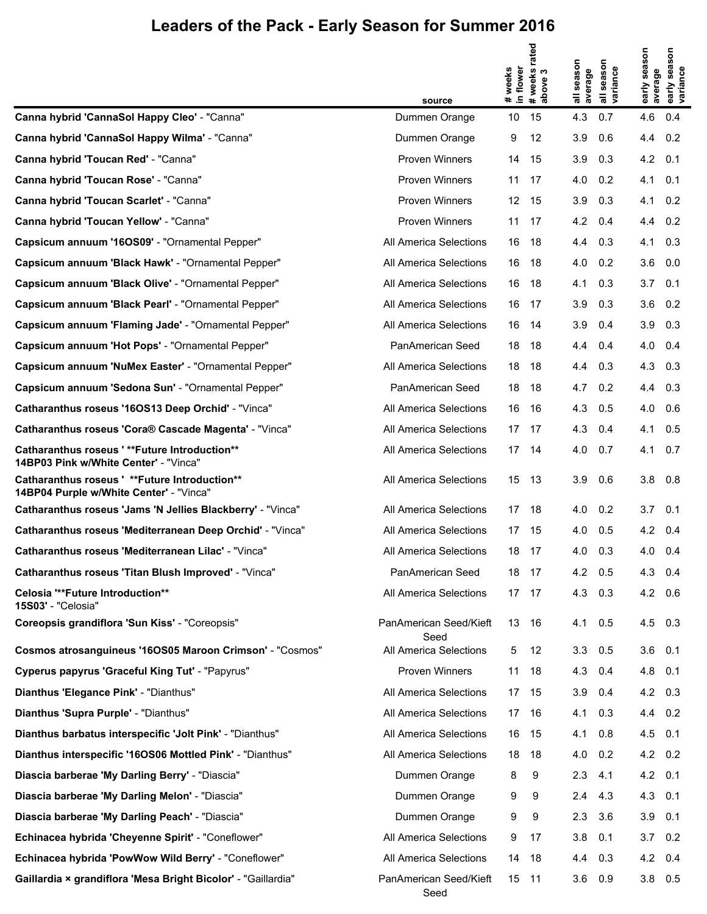|                                                                                          | source                         | # weeks<br>in flower | # weeks rated<br>above 3 | season<br>average | season<br>all seasor<br>variance | early season<br>average | season<br>early sea:<br>variance |
|------------------------------------------------------------------------------------------|--------------------------------|----------------------|--------------------------|-------------------|----------------------------------|-------------------------|----------------------------------|
| Canna hybrid 'CannaSol Happy Cleo' - "Canna"                                             | Dummen Orange                  | 10                   | 15                       | 4.3               | 0.7                              | 4.6                     | 0.4                              |
| Canna hybrid 'CannaSol Happy Wilma' - "Canna"                                            | Dummen Orange                  | 9                    | 12                       | 3.9               | 0.6                              | 4.4                     | 0.2                              |
| Canna hybrid 'Toucan Red' - "Canna"                                                      | <b>Proven Winners</b>          | 14                   | -15                      | 3.9               | 0.3                              | 4.2                     | 0.1                              |
| Canna hybrid 'Toucan Rose' - "Canna"                                                     | Proven Winners                 | 11                   | 17                       | 4.0               | 0.2                              | 4.1                     | 0.1                              |
| Canna hybrid 'Toucan Scarlet' - "Canna"                                                  | Proven Winners                 | 12 <sup>°</sup>      | - 15                     | 3.9               | 0.3                              | 4.1                     | 0.2                              |
| Canna hybrid 'Toucan Yellow' - "Canna"                                                   | Proven Winners                 | 11                   | - 17                     | 4.2               | 0.4                              | 4.4                     | 0.2                              |
| Capsicum annuum '16OS09' - "Ornamental Pepper"                                           | All America Selections         | 16                   | -18                      | 4.4               | 0.3                              | 4.1                     | 0.3                              |
| Capsicum annuum 'Black Hawk' - "Ornamental Pepper"                                       | All America Selections         | 16                   | - 18                     | 4.0               | 0.2                              | $3.6\quad 0.0$          |                                  |
| Capsicum annuum 'Black Olive' - "Ornamental Pepper"                                      | All America Selections         | 16                   | - 18                     | 4.1               | 0.3                              | 3.7                     | 0.1                              |
| Capsicum annuum 'Black Pearl' - "Ornamental Pepper"                                      | All America Selections         | 16 17                |                          | 3.9               | 0.3                              | $3.6$ 0.2               |                                  |
| Capsicum annuum 'Flaming Jade' - "Ornamental Pepper"                                     | All America Selections         | 16                   | - 14                     | 3.9               | 0.4                              | 3.9                     | 0.3                              |
| Capsicum annuum 'Hot Pops' - "Ornamental Pepper"                                         | PanAmerican Seed               | 18 18                |                          | 4.4               | 0.4                              | 4.0                     | 0.4                              |
| Capsicum annuum 'NuMex Easter' - "Ornamental Pepper"                                     | All America Selections         | 18                   | -18                      | 4.4               | 0.3                              | 4.3                     | 0.3                              |
| Capsicum annuum 'Sedona Sun' - "Ornamental Pepper"                                       | PanAmerican Seed               | 18                   | - 18                     | 4.7               | 0.2                              | 4.4                     | 0.3                              |
| Catharanthus roseus '16OS13 Deep Orchid' - "Vinca"                                       | All America Selections         | 16                   | - 16                     | 4.3               | 0.5                              | 4.0                     | 0.6                              |
| Catharanthus roseus 'Cora® Cascade Magenta' - "Vinca"                                    | All America Selections         | 17 17                |                          | 4.3               | 0.4                              | 4.1                     | 0.5                              |
| Catharanthus roseus '**Future Introduction**<br>14BP03 Pink w/White Center' - "Vinca"    | All America Selections         | 17 14                |                          | 4.0               | 0.7                              | 4.1                     | 0.7                              |
| Catharanthus roseus ' **Future Introduction**<br>14BP04 Purple w/White Center' - "Vinca" | All America Selections         | 15                   | 13                       | 3.9               | 0.6                              | 3.8                     | 0.8                              |
| Catharanthus roseus 'Jams 'N Jellies Blackberry' - "Vinca"                               | All America Selections         | 17                   | 18                       | 4.0               | 0.2                              | 3.7                     | 0.1                              |
| Catharanthus roseus 'Mediterranean Deep Orchid' - "Vinca"                                | All America Selections         | 17                   | 15                       | 4.0               | 0.5                              | 4.2                     | 0.4                              |
| Catharanthus roseus 'Mediterranean Lilac' - "Vinca"                                      | All America Selections         | 18                   | -17                      | 4.0               | 0.3                              | 4.0                     | 0.4                              |
| Catharanthus roseus 'Titan Blush Improved' - "Vinca"                                     | PanAmerican Seed               | 18                   | -17                      | 4.2               | 0.5                              | 4.3                     | 0.4                              |
| Celosia "**Future Introduction**<br>15S03' - "Celosia"                                   | All America Selections         | 17                   | -17                      | 4.3               | 0.3                              | 4.2                     | 0.6                              |
| Coreopsis grandiflora 'Sun Kiss' - "Coreopsis"                                           | PanAmerican Seed/Kieft<br>Seed |                      | 13 16                    | 4.1               | 0.5                              | $4.5$ 0.3               |                                  |
| Cosmos atrosanguineus '16OS05 Maroon Crimson' - "Cosmos"                                 | All America Selections         | 5                    | 12                       | 3.3               | 0.5                              | $3.6$ 0.1               |                                  |
| Cyperus papyrus 'Graceful King Tut' - "Papyrus"                                          | Proven Winners                 | 11                   | - 18                     | 4.3               | 0.4                              | 4.8 0.1                 |                                  |
| Dianthus 'Elegance Pink' - "Dianthus"                                                    | All America Selections         |                      | 17 15                    | 3.9               | 0.4                              | 4.2 0.3                 |                                  |
| Dianthus 'Supra Purple' - "Dianthus"                                                     | All America Selections         |                      | 17 16                    | 4.1               | 0.3                              | 4.4 0.2                 |                                  |
| Dianthus barbatus interspecific 'Jolt Pink' - "Dianthus"                                 | All America Selections         | 16                   | - 15                     | 4.1               | 0.8                              | $4.5$ 0.1               |                                  |
| Dianthus interspecific '16OS06 Mottled Pink' - "Dianthus"                                | All America Selections         | 18                   | - 18                     | 4.0               | 0.2                              | 4.2 0.2                 |                                  |
| Diascia barberae 'My Darling Berry' - "Diascia"                                          | Dummen Orange                  | 8                    | 9                        | 2.3               | 4.1                              | $4.2 \quad 0.1$         |                                  |
| Diascia barberae 'My Darling Melon' - "Diascia"                                          | Dummen Orange                  | 9                    | 9                        | 2.4               | 4.3                              | 4.3 0.1                 |                                  |
| Diascia barberae 'My Darling Peach' - "Diascia"                                          | Dummen Orange                  | 9                    | 9                        | 2.3               | 3.6                              | 3.9                     | 0.1                              |
| Echinacea hybrida 'Cheyenne Spirit' - "Coneflower"                                       | All America Selections         | 9                    | 17                       | 3.8               | 0.1                              | $3.7 \quad 0.2$         |                                  |
| Echinacea hybrida 'PowWow Wild Berry' - "Coneflower"                                     | All America Selections         | 14                   | 18                       | 4.4               | 0.3                              | 4.2 0.4                 |                                  |
| Gaillardia × grandiflora 'Mesa Bright Bicolor' - "Gaillardia"                            | PanAmerican Seed/Kieft<br>Seed | 15                   | 11                       | 3.6               | 0.9                              | $3.8\quad 0.5$          |                                  |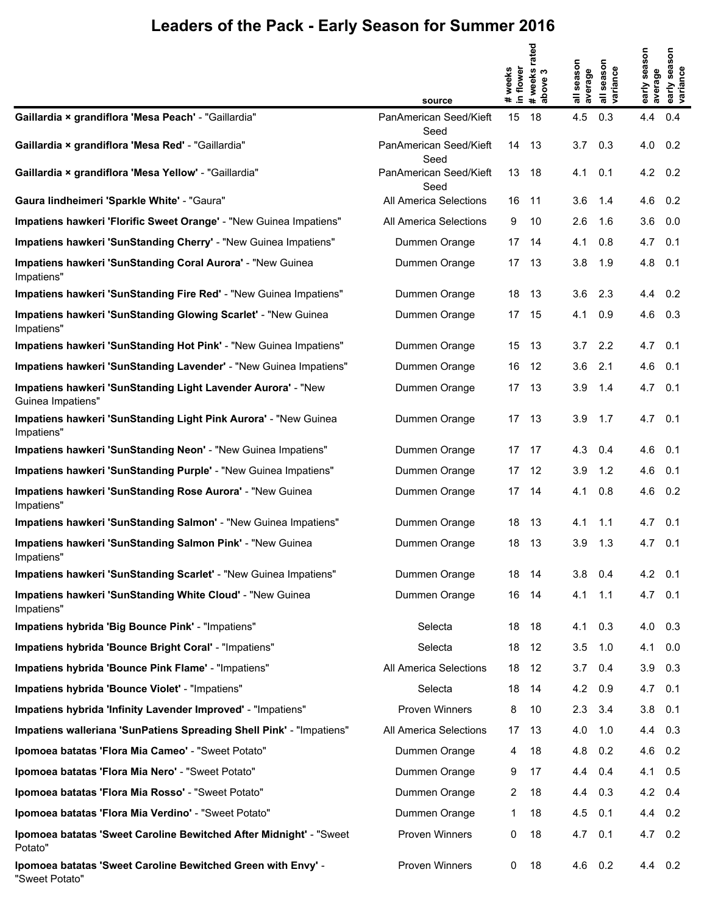|                                                                                   | source                                 | in flower<br>weeks<br># | rated<br># weeks i<br>above 3 | season<br>average<br>$\equiv$ | season<br>all seasor<br>variance | early season<br>average | early season<br>variance |
|-----------------------------------------------------------------------------------|----------------------------------------|-------------------------|-------------------------------|-------------------------------|----------------------------------|-------------------------|--------------------------|
| Gaillardia × grandiflora 'Mesa Peach' - "Gaillardia"                              | PanAmerican Seed/Kieft                 | 15                      | 18                            | 4.5                           | 0.3                              | 4.4                     | 0.4                      |
| Gaillardia × grandiflora 'Mesa Red' - "Gaillardia"                                | Seed<br>PanAmerican Seed/Kieft<br>Seed | 14                      | 13                            | 3.7                           | 0.3                              | 4.0                     | 0.2                      |
| Gaillardia × grandiflora 'Mesa Yellow' - "Gaillardia"                             | PanAmerican Seed/Kieft<br>Seed         | 13 18                   |                               | 4.1                           | 0.1                              | 4.2                     | 0.2                      |
| Gaura lindheimeri 'Sparkle White' - "Gaura"                                       | All America Selections                 | 16                      | -11                           | 3.6                           | 1.4                              | 4.6                     | 0.2                      |
| Impatiens hawkeri 'Florific Sweet Orange' - "New Guinea Impatiens"                | All America Selections                 | 9                       | 10                            | 2.6                           | 1.6                              | 3.6                     | 0.0                      |
| Impatiens hawkeri 'SunStanding Cherry' - "New Guinea Impatiens"                   | Dummen Orange                          | 17                      | 14                            | 4.1                           | 0.8                              | 4.7                     | 0.1                      |
| Impatiens hawkeri 'SunStanding Coral Aurora' - "New Guinea<br>Impatiens"          | Dummen Orange                          | 17                      | 13                            | 3.8                           | 1.9                              | 4.8                     | 0.1                      |
| Impatiens hawkeri 'SunStanding Fire Red' - "New Guinea Impatiens"                 | Dummen Orange                          | 18                      | 13                            | 3.6                           | 2.3                              | 4.4                     | 0.2                      |
| Impatiens hawkeri 'SunStanding Glowing Scarlet' - "New Guinea<br>Impatiens"       | Dummen Orange                          | 17                      | 15                            | 4.1                           | 0.9                              | 4.6                     | 0.3                      |
| Impatiens hawkeri 'SunStanding Hot Pink' - "New Guinea Impatiens"                 | Dummen Orange                          | 15 13                   |                               | 3.7                           | 2.2                              | $4.7 \quad 0.1$         |                          |
| Impatiens hawkeri 'SunStanding Lavender' - "New Guinea Impatiens"                 | Dummen Orange                          | 16                      | - 12                          | 3.6                           | 2.1                              | 4.6                     | 0.1                      |
| Impatiens hawkeri 'SunStanding Light Lavender Aurora' - "New<br>Guinea Impatiens" | Dummen Orange                          | 17 <sup>2</sup>         | 13                            | 3.9                           | 1.4                              | 4.7                     | 0.1                      |
| Impatiens hawkeri 'SunStanding Light Pink Aurora' - "New Guinea<br>Impatiens"     | Dummen Orange                          | 17                      | 13                            | 3.9                           | 1.7                              | 4.7                     | 0.1                      |
| Impatiens hawkeri 'SunStanding Neon' - "New Guinea Impatiens"                     | Dummen Orange                          | 17 17                   |                               | 4.3                           | 0.4                              | 4.6                     | 0.1                      |
| Impatiens hawkeri 'SunStanding Purple' - "New Guinea Impatiens"                   | Dummen Orange                          | 17 12                   |                               | 3.9                           | 1.2                              | 4.6                     | 0.1                      |
| Impatiens hawkeri 'SunStanding Rose Aurora' - "New Guinea<br>Impatiens"           | Dummen Orange                          | 17 14                   |                               | 4.1                           | 0.8                              | 4.6                     | 0.2                      |
| Impatiens hawkeri 'SunStanding Salmon' - "New Guinea Impatiens"                   | Dummen Orange                          | 18                      | -13                           | 4.1                           | 1.1                              | 4.7                     | 0.1                      |
| Impatiens hawkeri 'SunStanding Salmon Pink' - "New Guinea<br>Impatiens"           | Dummen Orange                          | 18                      | 13                            | 3.9                           | 1.3                              | 4.7                     | 0.1                      |
| Impatiens hawkeri 'SunStanding Scarlet' - "New Guinea Impatiens"                  | Dummen Orange                          |                         | 18 14                         | 3.8                           | 0.4                              | $4.2 \quad 0.1$         |                          |
| Impatiens hawkeri 'SunStanding White Cloud' - "New Guinea<br>Impatiens"           | Dummen Orange                          | 16                      | -14                           | 4.1                           | 1.1                              | 4.7                     | 0.1                      |
| Impatiens hybrida 'Big Bounce Pink' - "Impatiens"                                 | Selecta                                | 18                      | 18                            | 4.1                           | 0.3                              | 4.0                     | 0.3                      |
| Impatiens hybrida 'Bounce Bright Coral' - "Impatiens"                             | Selecta                                | 18                      | 12                            | 3.5                           | 1.0                              | 4.1                     | 0.0                      |
| Impatiens hybrida 'Bounce Pink Flame' - "Impatiens"                               | All America Selections                 | 18                      | 12                            | 3.7                           | 0.4                              | 3.9                     | 0.3                      |
| Impatiens hybrida 'Bounce Violet' - "Impatiens"                                   | Selecta                                | 18                      | 14                            | 4.2                           | 0.9                              | 4.7                     | 0.1                      |
| Impatiens hybrida 'Infinity Lavender Improved' - "Impatiens"                      | <b>Proven Winners</b>                  | 8                       | 10                            | 2.3                           | 3.4                              | 3.8                     | 0.1                      |
| Impatiens walleriana 'SunPatiens Spreading Shell Pink' - "Impatiens"              | All America Selections                 | 17                      | 13                            | 4.0                           | 1.0                              | 4.4                     | 0.3                      |
| Ipomoea batatas 'Flora Mia Cameo' - "Sweet Potato"                                | Dummen Orange                          | 4                       | 18                            | 4.8                           | 0.2                              | 4.6                     | 0.2                      |
| Ipomoea batatas 'Flora Mia Nero' - "Sweet Potato"                                 | Dummen Orange                          | 9                       | 17                            | 4.4                           | 0.4                              | 4.1                     | 0.5                      |
| Ipomoea batatas 'Flora Mia Rosso' - "Sweet Potato"                                | Dummen Orange                          | 2                       | 18                            | 4.4                           | 0.3                              | 4.2                     | 0.4                      |
| Ipomoea batatas 'Flora Mia Verdino' - "Sweet Potato"                              | Dummen Orange                          | 1                       | 18                            | 4.5                           | 0.1                              | 4.4                     | 0.2                      |
| Ipomoea batatas 'Sweet Caroline Bewitched After Midnight' - "Sweet<br>Potato"     | Proven Winners                         | 0                       | 18                            | 4.7                           | 0.1                              | 4.7                     | 0.2                      |
| Ipomoea batatas 'Sweet Caroline Bewitched Green with Envy' -<br>"Sweet Potato"    | Proven Winners                         | 0                       | 18                            | 4.6                           | 0.2                              | 4.4 0.2                 |                          |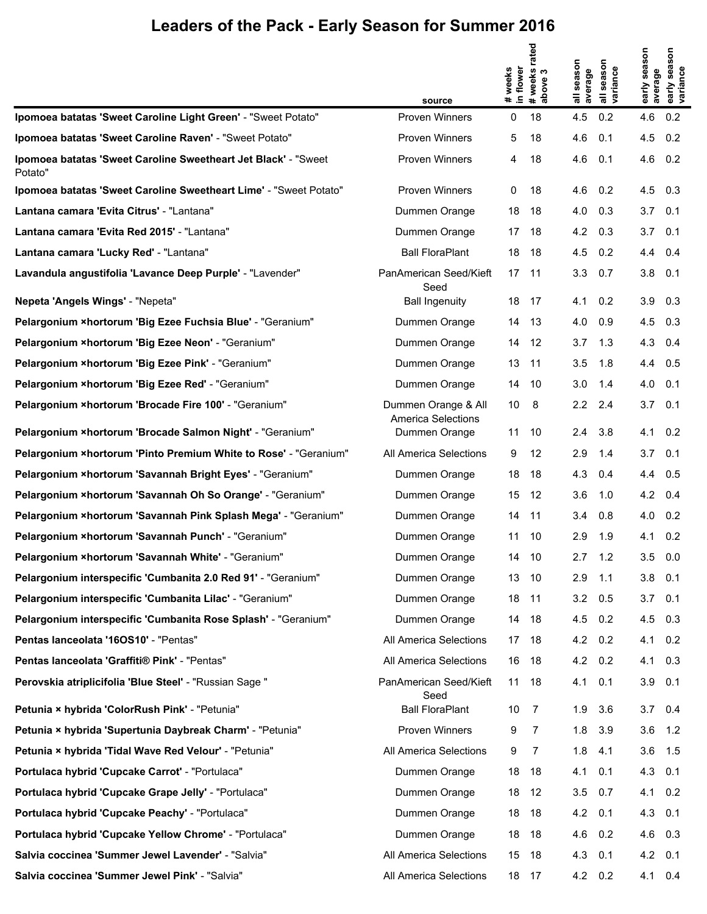|                                                                            |                                                  |                      | rated                |                   |                                  |                         |                                  |
|----------------------------------------------------------------------------|--------------------------------------------------|----------------------|----------------------|-------------------|----------------------------------|-------------------------|----------------------------------|
|                                                                            | source                                           | # weeks<br>in flower | # weeks i<br>above 3 | season<br>average | season<br>all seasor<br>variance | early season<br>average | season<br>early seas<br>variance |
| Ipomoea batatas 'Sweet Caroline Light Green' - "Sweet Potato"              | <b>Proven Winners</b>                            | 0                    | 18                   | 4.5               | 0.2                              | 4.6                     | 0.2                              |
| Ipomoea batatas 'Sweet Caroline Raven' - "Sweet Potato"                    | <b>Proven Winners</b>                            | 5                    | 18                   | 4.6               | 0.1                              | 4.5                     | 0.2                              |
| Ipomoea batatas 'Sweet Caroline Sweetheart Jet Black' - "Sweet"<br>Potato" | <b>Proven Winners</b>                            | 4                    | 18                   | 4.6               | 0.1                              | 4.6                     | 0.2                              |
| Ipomoea batatas 'Sweet Caroline Sweetheart Lime' - "Sweet Potato"          | <b>Proven Winners</b>                            | 0                    | 18                   | 4.6               | 0.2                              | 4.5                     | 0.3                              |
| Lantana camara 'Evita Citrus' - "Lantana"                                  | Dummen Orange                                    | 18                   | 18                   | 4.0               | 0.3                              | 3.7                     | 0.1                              |
| Lantana camara 'Evita Red 2015' - "Lantana"                                | Dummen Orange                                    | 17                   | 18                   | 4.2               | 0.3                              | 3.7                     | 0.1                              |
| Lantana camara 'Lucky Red' - "Lantana"                                     | Ball FloraPlant                                  | 18                   | 18                   | 4.5               | 0.2                              | 4.4                     | 0.4                              |
| Lavandula angustifolia 'Lavance Deep Purple' - "Lavender"                  | PanAmerican Seed/Kieft<br>Seed                   | 17                   | 11                   | 3.3               | 0.7                              | 3.8                     | 0.1                              |
| Nepeta 'Angels Wings' - "Nepeta"                                           | <b>Ball Ingenuity</b>                            | 18                   | 17                   | 4.1               | 0.2                              | 3.9                     | 0.3                              |
| Pelargonium ×hortorum 'Big Ezee Fuchsia Blue' - "Geranium"                 | Dummen Orange                                    | 14                   | 13                   | 4.0               | 0.9                              | 4.5                     | 0.3                              |
| Pelargonium ×hortorum 'Big Ezee Neon' - "Geranium"                         | Dummen Orange                                    | 14                   | -12                  | 3.7               | 1.3                              | 4.3                     | 0.4                              |
| Pelargonium ×hortorum 'Big Ezee Pink' - "Geranium"                         | Dummen Orange                                    | 13                   | 11                   | 3.5               | 1.8                              | 4.4                     | 0.5                              |
| Pelargonium ×hortorum 'Big Ezee Red' - "Geranium"                          | Dummen Orange                                    | 14                   | -10                  | 3.0               | 1.4                              | 4.0                     | 0.1                              |
| Pelargonium × hortorum 'Brocade Fire 100' - "Geranium"                     | Dummen Orange & All<br><b>America Selections</b> | 10                   | 8                    | 2.2               | 2.4                              | 3.7                     | 0.1                              |
| Pelargonium ×hortorum 'Brocade Salmon Night' - "Geranium"                  | Dummen Orange                                    | 11                   | 10                   | 2.4               | 3.8                              | 4.1                     | 0.2                              |
| Pelargonium × hortorum 'Pinto Premium White to Rose' - "Geranium"          | All America Selections                           | 9                    | 12                   | 2.9               | 1.4                              | 3.7                     | 0.1                              |
| Pelargonium ×hortorum 'Savannah Bright Eyes' - "Geranium"                  | Dummen Orange                                    | 18                   | 18                   | 4.3               | 0.4                              | 4.4                     | 0.5                              |
| Pelargonium ×hortorum 'Savannah Oh So Orange' - "Geranium"                 | Dummen Orange                                    | 15                   | 12                   | 3.6               | 1.0                              | 4.2                     | 0.4                              |
| Pelargonium ×hortorum 'Savannah Pink Splash Mega' - "Geranium"             | Dummen Orange                                    | 14                   | 11                   | 3.4               | 0.8                              | 4.0                     | 0.2                              |
| Pelargonium × hortorum 'Savannah Punch' - "Geranium"                       | Dummen Orange                                    | 11                   | 10                   | 2.9               | 1.9                              | 4.1                     | 0.2                              |
| Pelargonium × hortorum 'Savannah White' - "Geranium"                       | Dummen Orange                                    | 14                   | 10                   | 2.7               | 1.2                              | 3.5                     | 0.0                              |
| Pelargonium interspecific 'Cumbanita 2.0 Red 91' - "Geranium"              | Dummen Orange                                    | 13                   | 10                   | 2.9               | 1.1                              | 3.8                     | 0.1                              |
| Pelargonium interspecific 'Cumbanita Lilac' - "Geranium"                   | Dummen Orange                                    | 18                   | 11                   | 3.2               | 0.5                              | 3.7                     | 0.1                              |
| Pelargonium interspecific 'Cumbanita Rose Splash' - "Geranium"             | Dummen Orange                                    | 14                   | 18                   | 4.5               | 0.2                              | 4.5                     | 0.3                              |
| Pentas Ianceolata '160S10' - "Pentas"                                      | All America Selections                           | 17                   | 18                   | 4.2               | 0.2                              | 4.1                     | 0.2                              |
| Pentas lanceolata 'Graffiti® Pink' - "Pentas"                              | All America Selections                           | 16                   | 18                   | 4.2               | 0.2                              | 4.1                     | 0.3                              |
| Perovskia atriplicifolia 'Blue Steel' - "Russian Sage "                    | PanAmerican Seed/Kieft<br>Seed                   | 11                   | 18                   | 4.1               | 0.1                              | 3.9                     | 0.1                              |
| Petunia × hybrida 'ColorRush Pink' - "Petunia"                             | <b>Ball FloraPlant</b>                           | 10                   | $\overline{7}$       | 1.9               | 3.6                              | 3.7                     | 0.4                              |
| Petunia × hybrida 'Supertunia Daybreak Charm' - "Petunia"                  | Proven Winners                                   | 9                    | 7                    | 1.8               | 3.9                              | 3.6                     | 1.2                              |
| Petunia × hybrida 'Tidal Wave Red Velour' - "Petunia"                      | All America Selections                           | 9                    | 7                    | 1.8               | 4.1                              | 3.6                     | 1.5                              |
| Portulaca hybrid 'Cupcake Carrot' - "Portulaca"                            | Dummen Orange                                    | 18                   | 18                   | 4.1               | 0.1                              | 4.3                     | 0.1                              |
| Portulaca hybrid 'Cupcake Grape Jelly' - "Portulaca"                       | Dummen Orange                                    | 18                   | 12                   | 3.5               | 0.7                              | 4.1                     | 0.2                              |
| Portulaca hybrid 'Cupcake Peachy' - "Portulaca"                            | Dummen Orange                                    | 18                   | 18                   | 4.2               | 0.1                              | 4.3                     | 0.1                              |
| Portulaca hybrid 'Cupcake Yellow Chrome' - "Portulaca"                     | Dummen Orange                                    | 18                   | 18                   | 4.6               | 0.2                              | 4.6 0.3                 |                                  |
| Salvia coccinea 'Summer Jewel Lavender' - "Salvia"                         | All America Selections                           | 15                   | 18                   | 4.3               | 0.1                              | 4.2                     | 0.1                              |
| Salvia coccinea 'Summer Jewel Pink' - "Salvia"                             | All America Selections                           | 18                   | 17                   | $4.2 \quad 0.2$   |                                  | 4.1 0.4                 |                                  |